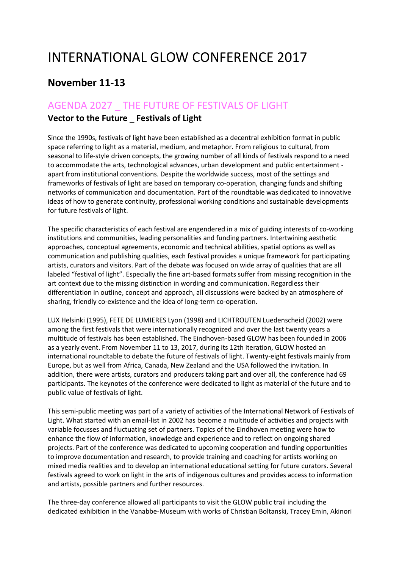## INTERNATIONAL GLOW CONFERENCE 2017

## **November 11-13**

## AGENDA 2027 \_ THE FUTURE OF FESTIVALS OF LIGHT

## **Vector to the Future \_ Festivals of Light**

Since the 1990s, festivals of light have been established as a decentral exhibition format in public space referring to light as a material, medium, and metaphor. From religious to cultural, from seasonal to life-style driven concepts, the growing number of all kinds of festivals respond to a need to accommodate the arts, technological advances, urban development and public entertainment apart from institutional conventions. Despite the worldwide success, most of the settings and frameworks of festivals of light are based on temporary co-operation, changing funds and shifting networks of communication and documentation. Part of the roundtable was dedicated to innovative ideas of how to generate continuity, professional working conditions and sustainable developments for future festivals of light.

The specific characteristics of each festival are engendered in a mix of guiding interests of co-working institutions and communities, leading personalities and funding partners. Intertwining aesthetic approaches, conceptual agreements, economic and technical abilities, spatial options as well as communication and publishing qualities, each festival provides a unique framework for participating artists, curators and visitors. Part of the debate was focused on wide array of qualities that are all labeled "festival of light". Especially the fine art-based formats suffer from missing recognition in the art context due to the missing distinction in wording and communication. Regardless their differentiation in outline, concept and approach, all discussions were backed by an atmosphere of sharing, friendly co-existence and the idea of long-term co-operation.

LUX Helsinki (1995), FETE DE LUMIERES Lyon (1998) and LICHTROUTEN Luedenscheid (2002) were among the first festivals that were internationally recognized and over the last twenty years a multitude of festivals has been established. The Eindhoven-based GLOW has been founded in 2006 as a yearly event. From November 11 to 13, 2017, during its 12th iteration, GLOW hosted an international roundtable to debate the future of festivals of light. Twenty-eight festivals mainly from Europe, but as well from Africa, Canada, New Zealand and the USA followed the invitation. In addition, there were artists, curators and producers taking part and over all, the conference had 69 participants. The keynotes of the conference were dedicated to light as material of the future and to public value of festivals of light.

This semi-public meeting was part of a variety of activities of the International Network of Festivals of Light. What started with an email-list in 2002 has become a multitude of activities and projects with variable focusses and fluctuating set of partners. Topics of the Eindhoven meeting were how to enhance the flow of information, knowledge and experience and to reflect on ongoing shared projects. Part of the conference was dedicated to upcoming cooperation and funding opportunities to improve documentation and research, to provide training and coaching for artists working on mixed media realities and to develop an international educational setting for future curators. Several festivals agreed to work on light in the arts of indigenous cultures and provides access to information and artists, possible partners and further resources.

The three-day conference allowed all participants to visit the GLOW public trail including the dedicated exhibition in the Vanabbe-Museum with works of Christian Boltanski, Tracey Emin, Akinori